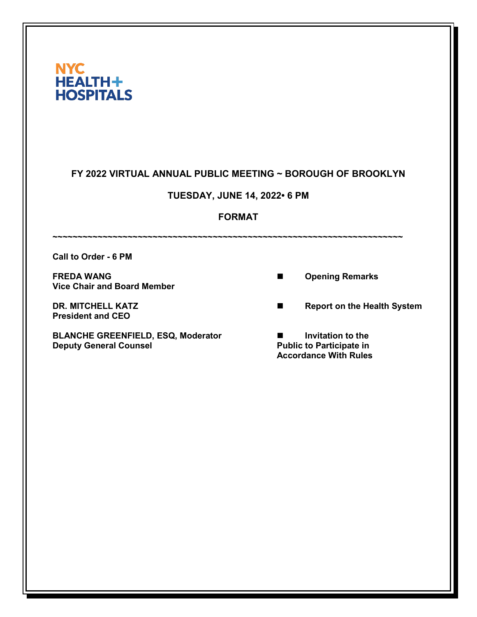| <b>NYC</b>       |
|------------------|
| HEALTH+          |
| <b>HOSPITALS</b> |

## **FY 2022 VIRTUAL ANNUAL PUBLIC MEETING ~ BOROUGH OF BROOKLYN**

# **TUESDAY, JUNE 14, 2022• 6 PM**

### **FORMAT**

**~~~~~~~~~~~~~~~~~~~~~~~~~~~~~~~~~~~~~~~~~~~~~~~~~~~~~~~~~~~~~~~~~~~~~~ Call to Order - 6 PM**

**FREDA WANG Discriming Remarks CONSUMING CONSUMING CONSUMING CONSUMING CONSUMING CONSUMING CONSUMING CONSUMING CONSUMING CONSUMING CONSUMING CONSUMING CONSUMING CONSUMING CONSUMING CONSUMING CONSUMING CONSUMING CONSUMI Vice Chair and Board Member**

**President and CEO**

**BLANCHE GREENFIELD, ESQ, Moderator**  $\blacksquare$  Invitation to the Deputy General Counsel **Deputy General Counsel** 

**DR. MITCHELL KATZ Report on the Health System** 

**Accordance With Rules**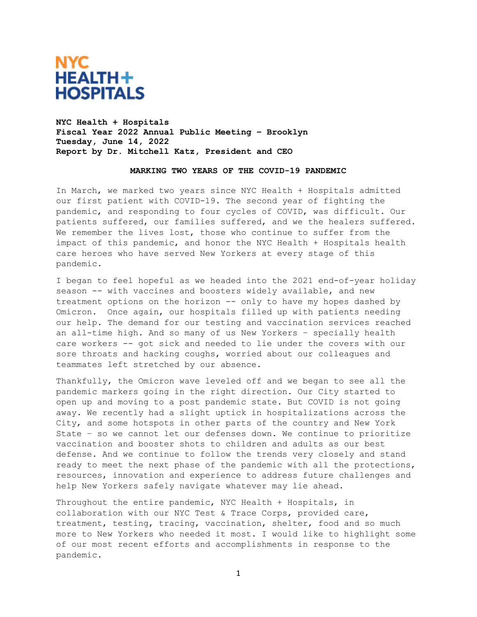

**NYC Health + Hospitals Fiscal Year 2022 Annual Public Meeting – Brooklyn Tuesday, June 14, 2022 Report by Dr. Mitchell Katz, President and CEO**

#### **MARKING TWO YEARS OF THE COVID-19 PANDEMIC**

In March, we marked two years since NYC Health + Hospitals admitted our first patient with COVID-19. The second year of fighting the pandemic, and responding to four cycles of COVID, was difficult. Our patients suffered, our families suffered, and we the healers suffered. We remember the lives lost, those who continue to suffer from the impact of this pandemic, and honor the NYC Health + Hospitals health care heroes who have served New Yorkers at every stage of this pandemic.

I began to feel hopeful as we headed into the 2021 end-of-year holiday season -- with vaccines and boosters widely available, and new treatment options on the horizon -- only to have my hopes dashed by Omicron. Once again, our hospitals filled up with patients needing our help. The demand for our testing and vaccination services reached an all-time high. And so many of us New Yorkers – specially health care workers -- got sick and needed to lie under the covers with our sore throats and hacking coughs, worried about our colleagues and teammates left stretched by our absence.

Thankfully, the Omicron wave leveled off and we began to see all the pandemic markers going in the right direction. Our City started to open up and moving to a post pandemic state. But COVID is not going away. We recently had a slight uptick in hospitalizations across the City, and some hotspots in other parts of the country and New York State – so we cannot let our defenses down. We continue to prioritize vaccination and booster shots to children and adults as our best defense. And we continue to follow the trends very closely and stand ready to meet the next phase of the pandemic with all the protections, resources, innovation and experience to address future challenges and help New Yorkers safely navigate whatever may lie ahead.

Throughout the entire pandemic, NYC Health + Hospitals, in collaboration with our NYC Test & Trace Corps, provided care, treatment, testing, tracing, vaccination, shelter, food and so much more to New Yorkers who needed it most. I would like to highlight some of our most recent efforts and accomplishments in response to the pandemic.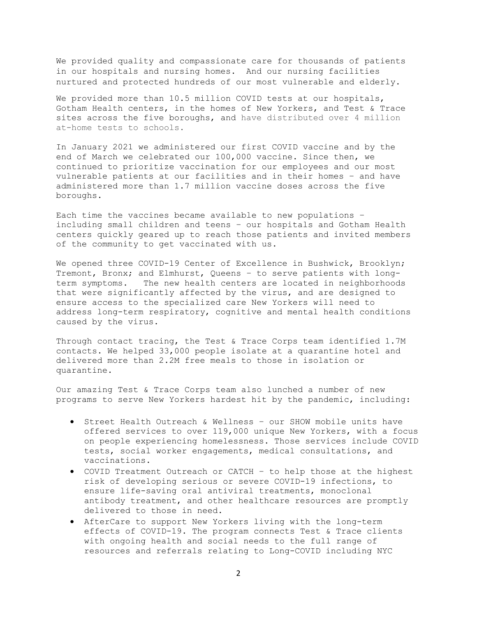We provided quality and compassionate care for thousands of patients in our hospitals and nursing homes. And our nursing facilities nurtured and protected hundreds of our most vulnerable and elderly.

We provided more than 10.5 million COVID tests at our hospitals, Gotham Health centers, in the homes of New Yorkers, and Test & Trace sites across the five boroughs, and have distributed over 4 million at-home tests to schools.

In January 2021 we administered our first COVID vaccine and by the end of March we celebrated our 100,000 vaccine. Since then, we continued to prioritize vaccination for our employees and our most vulnerable patients at our facilities and in their homes – and have administered more than 1.7 million vaccine doses across the five boroughs.

Each time the vaccines became available to new populations – including small children and teens – our hospitals and Gotham Health centers quickly geared up to reach those patients and invited members of the community to get vaccinated with us.

We opened three COVID-19 Center of Excellence in Bushwick, Brooklyn; Tremont, Bronx; and Elmhurst, Queens - to serve patients with long-<br>term symptoms. The new health centers are located in neighborhood: The new health centers are located in neighborhoods that were significantly affected by the virus, and are designed to ensure access to the specialized care New Yorkers will need to address long-term respiratory, cognitive and mental health conditions caused by the virus.

Through contact tracing, the Test & Trace Corps team identified 1.7M contacts. We helped 33,000 people isolate at a quarantine hotel and delivered more than 2.2M free meals to those in isolation or quarantine.

Our amazing Test & Trace Corps team also lunched a number of new programs to serve New Yorkers hardest hit by the pandemic, including:

- Street Health Outreach & Wellness our SHOW mobile units have offered services to over 119,000 unique New Yorkers, with a focus on people experiencing homelessness. Those services include COVID tests, social worker engagements, medical consultations, and vaccinations.
- COVID Treatment Outreach or CATCH to help those at the highest risk of developing serious or severe COVID-19 infections, to ensure life-saving oral antiviral treatments, monoclonal antibody treatment, and other healthcare resources are promptly delivered to those in need.
- AfterCare to support New Yorkers living with the long-term effects of COVID-19. The program connects Test & Trace clients with ongoing health and social needs to the full range of resources and referrals relating to Long-COVID including NYC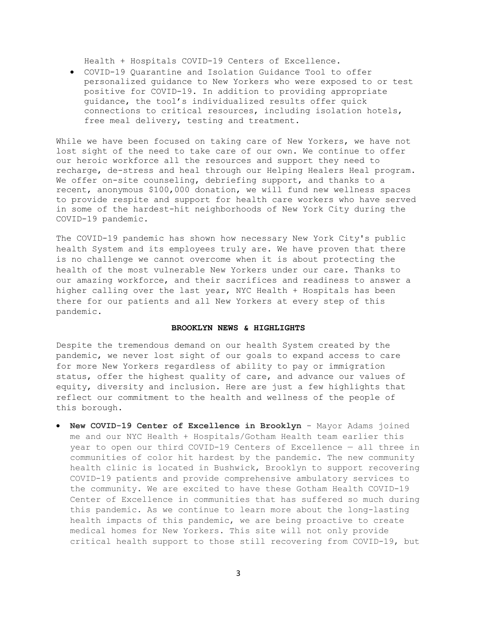Health + Hospitals COVID-19 Centers of Excellence.

• COVID-19 Quarantine and [Isolation Guidance Tool](https://covid19.nychealthandhospitals.org/COVID19help) to offer personalized guidance to New Yorkers who were exposed to or test positive for COVID-19. In addition to providing appropriate guidance, the tool's individualized results offer quick connections to critical resources, including isolation hotels, free meal delivery, testing and treatment.

While we have been focused on taking care of New Yorkers, we have not lost sight of the need to take care of our own. We continue to offer our heroic workforce all the resources and support they need to recharge, de-stress and heal through our Helping Healers Heal program. We offer on-site counseling, debriefing support, and thanks to a recent, anonymous \$100,000 donation, we will fund new wellness spaces to provide respite and support for health care workers who have served in some of the hardest-hit neighborhoods of New York City during the COVID-19 pandemic.

The COVID-19 pandemic has shown how necessary New York City's public health System and its employees truly are. We have proven that there is no challenge we cannot overcome when it is about protecting the health of the most vulnerable New Yorkers under our care. Thanks to our amazing workforce, and their sacrifices and readiness to answer a higher calling over the last year, NYC Health + Hospitals has been there for our patients and all New Yorkers at every step of this pandemic.

#### **BROOKLYN NEWS & HIGHLIGHTS**

Despite the tremendous demand on our health System created by the pandemic, we never lost sight of our goals to expand access to care for more New Yorkers regardless of ability to pay or immigration status, offer the highest quality of care, and advance our values of equity, diversity and inclusion. Here are just a few highlights that reflect our commitment to the health and wellness of the people of this borough.

• **New COVID-19 Center of Excellence in Brooklyn** - Mayor Adams joined me and our NYC Health + Hospitals/Gotham Health team earlier this year to open our third COVID-19 Centers of Excellence — all three in communities of color hit hardest by the pandemic. The new community health clinic is located in Bushwick, Brooklyn to support recovering COVID-19 patients and provide comprehensive ambulatory services to the community. We are excited to have these Gotham Health COVID-19 Center of Excellence in communities that has suffered so much during this pandemic. As we continue to learn more about the long-lasting health impacts of this pandemic, we are being proactive to create medical homes for New Yorkers. This site will not only provide critical health support to those still recovering from COVID-19, but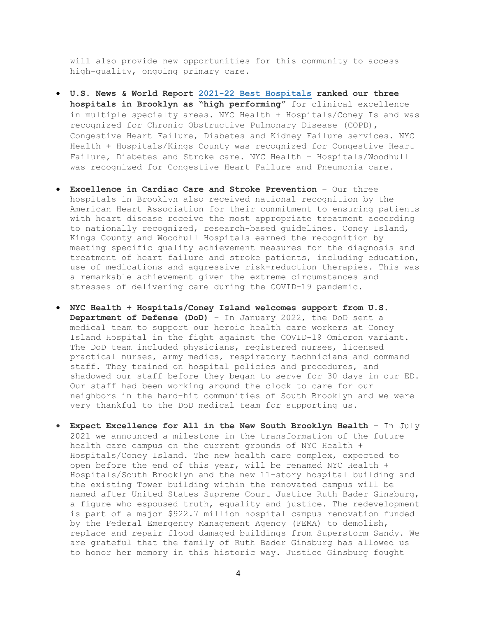will also provide new opportunities for this community to access high-quality, ongoing primary care.

- **U.S. News & World Report 2021-22 Best [Hospitals](https://health.usnews.com/best-hospitals/rankings) ranked our three hospitals in Brooklyn as "high performing"** for clinical excellence in multiple specialty areas. NYC Health + Hospitals/Coney Island was recognized for Chronic Obstructive Pulmonary Disease (COPD), Congestive Heart Failure, Diabetes and Kidney Failure services. NYC Health + Hospitals/Kings County was recognized for Congestive Heart Failure, Diabetes and Stroke care. NYC Health + Hospitals/Woodhull was recognized for Congestive Heart Failure and Pneumonia care.
- **Excellence in Cardiac Care and Stroke Prevention** Our three hospitals in Brooklyn also received national recognition by the American Heart Association for their commitment to ensuring patients with heart disease receive the most appropriate treatment according to nationally recognized, research-based guidelines. Coney Island, Kings County and Woodhull Hospitals earned the recognition by meeting specific quality achievement measures for the diagnosis and treatment of heart failure and stroke patients, including education, use of medications and aggressive risk-reduction therapies. This was a remarkable achievement given the extreme circumstances and stresses of delivering care during the COVID-19 pandemic.
- **NYC Health + Hospitals/Coney Island welcomes support from U.S. Department of Defense (DoD)** – In January 2022, the DoD sent a medical team to support our heroic health care workers at Coney Island Hospital in the fight against the COVID-19 Omicron variant. The DoD team included physicians, registered nurses, licensed practical nurses, army medics, respiratory technicians and command staff. They trained on hospital policies and procedures, and shadowed our staff before they began to serve for 30 days in our ED. Our staff had been working around the clock to care for our neighbors in the hard-hit communities of South Brooklyn and we were very thankful to the DoD medical team for supporting us.
- **Expect Excellence for All in the New South Brooklyn Health**  In July 2021 we announced a milestone in the transformation of the future health care campus on the current grounds of NYC Health + Hospitals/Coney Island. The new health care complex, expected to open before the end of this year, will be renamed NYC Health + Hospitals/South Brooklyn and the new 11-story hospital building and the existing Tower building within the renovated campus will be named after United States Supreme Court Justice Ruth Bader Ginsburg, a figure who espoused truth, equality and justice. The redevelopment is part of a major \$922.7 million hospital campus renovation funded by the Federal Emergency Management Agency (FEMA) to demolish, replace and repair flood damaged buildings from Superstorm Sandy. We are grateful that the family of Ruth Bader Ginsburg has allowed us to honor her memory in this historic way. Justice Ginsburg fought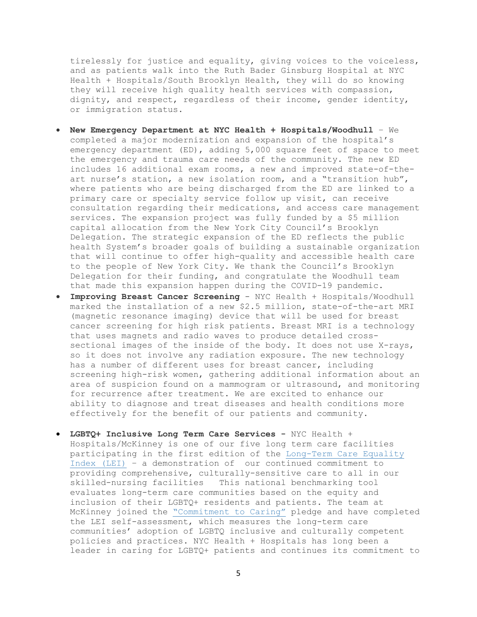tirelessly for justice and equality, giving voices to the voiceless, and as patients walk into the Ruth Bader Ginsburg Hospital at NYC Health + Hospitals/South Brooklyn Health, they will do so knowing they will receive high quality health services with compassion, dignity, and respect, regardless of their income, gender identity, or immigration status.

- **New Emergency Department at NYC Health + Hospitals/Woodhull** We completed a major modernization and expansion of the hospital's emergency department (ED), adding 5,000 square feet of space to meet the emergency and trauma care needs of the community. The new ED includes 16 additional exam rooms, a new and improved state-of-theart nurse's station, a new isolation room, and a "transition hub", where patients who are being discharged from the ED are linked to a primary care or specialty service follow up visit, can receive consultation regarding their medications, and access care management services. The expansion project was fully funded by a \$5 million capital allocation from the New York City Council's Brooklyn Delegation. The strategic expansion of the ED reflects the public health System's broader goals of building a sustainable organization that will continue to offer high-quality and accessible health care to the people of New York City. We thank the Council's Brooklyn Delegation for their funding, and congratulate the Woodhull team that made this expansion happen during the COVID-19 pandemic.
- **Improving Breast Cancer Screening** NYC Health + Hospitals/Woodhull marked the installation of a new \$2.5 million, state-of-the-art MRI (magnetic resonance imaging) device that will be used for breast cancer screening for high risk patients. Breast MRI is a technology that uses magnets and radio waves to produce detailed crosssectional images of the inside of the body. It does not use X-rays, so it does not involve any radiation exposure. The new technology has a number of different uses for breast cancer, including screening high-risk women, gathering additional information about an area of suspicion found on a mammogram or ultrasound, and monitoring for recurrence after treatment. We are excited to enhance our ability to diagnose and treat diseases and health conditions more effectively for the benefit of our patients and community.
- **LGBTQ+ Inclusive Long Term Care Services -** NYC Health + Hospitals/McKinney is one of our five long term care facilities participating in the first edition of the [Long-Term](https://thelei.org/lei-2021) Care Equality [Index](https://thelei.org/lei-2021) (LEI) – a demonstration of our continued commitment to providing comprehensive, culturally-sensitive care to all in our skilled-nursing facilities This national benchmarking tool evaluates long-term care communities based on the equity and inclusion of their LGBTQ+ residents and patients. The team at McKinney joined the ["Commitment](https://thelei.org/commitment-to-caring-pledge) to Caring" pledge and have completed the LEI self-assessment, which measures the long-term care communities' adoption of LGBTQ inclusive and culturally competent policies and practices. NYC Health + Hospitals has long been a leader in caring for LGBTQ+ patients and continues its commitment to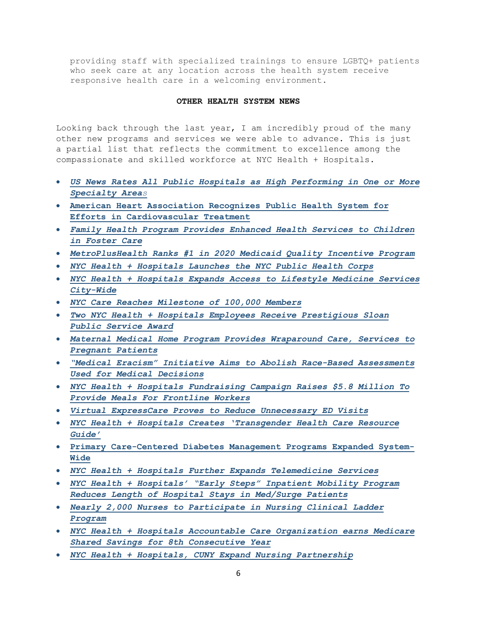providing staff with specialized trainings to ensure LGBTQ+ patients who seek care at any location across the health system receive responsive health care in a welcoming environment.

#### **OTHER HEALTH SYSTEM NEWS**

Looking back through the last year, I am incredibly proud of the many other new programs and services we were able to advance. This is just a partial list that reflects the commitment to excellence among the compassionate and skilled workforce at NYC Health + Hospitals.

- *[US News Rates All Public Hospitals as High Performing in One or More](https://www.nychealthandhospitals.org/pressrelease/us-news-rates-all-public-hospitals-as-high-performing-in-at-least-one-specialty-area/)  [Specialty Area](https://www.nychealthandhospitals.org/pressrelease/us-news-rates-all-public-hospitals-as-high-performing-in-at-least-one-specialty-area/)s*
- **[American Heart Association Recognizes Public Health System for](https://www.nychealthandhospitals.org/pressrelease/american-heart-association-recognizes-system-for-efforts-in-cardiovascular-treatment/)  [Efforts in Cardiovascular Treatment](https://www.nychealthandhospitals.org/pressrelease/american-heart-association-recognizes-system-for-efforts-in-cardiovascular-treatment/)**
- *[Family Health Program Provides Enhanced Health Services to Children](https://www.nychealthandhospitals.org/pressrelease/family-health-program-provides-enhanced-health-services-to-children-in-foster-care/)  [in Foster Care](https://www.nychealthandhospitals.org/pressrelease/family-health-program-provides-enhanced-health-services-to-children-in-foster-care/)*
- *[MetroPlusHealth Ranks #1 in 2020 Medicaid Quality Incentive Program](https://www.nychealthandhospitals.org/pressrelease/metroplushealth-ranks-1-in-2020-medicaid-quality-incentive-program/)*
- *[NYC Health + Hospitals Launches the NYC Public Health Corps](https://www.nychealthandhospitals.org/pressrelease/mayor-de-blasio-launches-the-nyc-public-health-corps/)*
- *[NYC Health + Hospitals Expands Access to Lifestyle Medicine Services](https://www.nychealthandhospitals.org/pressrelease/nyc-health-hospitals-expands-access-lifestyle-medicine-services-city-wide/)  [City-Wide](https://www.nychealthandhospitals.org/pressrelease/nyc-health-hospitals-expands-access-lifestyle-medicine-services-city-wide/)*
- *[NYC Care Reaches Milestone of 100,000 Members](https://www.nychealthandhospitals.org/pressrelease/nyc-care-reaches-milestone-of-100000-members/)*
- *[Two NYC Health + Hospitals Employees Receive Prestigious Sloan](https://www.nychealthandhospitals.org/pressrelease/two-nyc-healthhospitals-employees-receive-prestigious-sloan-public-service-award/)  [Public Service Award](https://www.nychealthandhospitals.org/pressrelease/two-nyc-healthhospitals-employees-receive-prestigious-sloan-public-service-award/)*
- *[Maternal Medical Home Program Provides Wraparound Care, Services to](https://www.nychealthandhospitals.org/pressrelease/maternal-medical-home-program-provides-wraparound-care-services-to-pregnant-patients/)  [Pregnant Patients](https://www.nychealthandhospitals.org/pressrelease/maternal-medical-home-program-provides-wraparound-care-services-to-pregnant-patients/)*
- *["Medical Eracism" Initiative Aims to Abolish Race-Based Assessments](https://www.nychealthandhospitals.org/pressrelease/medical-eracism-initiative-aims-to-abolish-race-based-assessments-used-for-medical-decisions/)  [Used for Medical Decisions](https://www.nychealthandhospitals.org/pressrelease/medical-eracism-initiative-aims-to-abolish-race-based-assessments-used-for-medical-decisions/)*
- *[NYC Health + Hospitals Fundraising Campaign Raises \\$5.8 Million To](https://www.nychealthandhospitals.org/pressrelease/nyc-health-hospitals-fundraising-campaign-raises-5-8-million-to-provide-meals-for-frontline-workers/)  [Provide Meals For Frontline Workers](https://www.nychealthandhospitals.org/pressrelease/nyc-health-hospitals-fundraising-campaign-raises-5-8-million-to-provide-meals-for-frontline-workers/)*
- *[Virtual ExpressCare Proves to Reduce Unnecessary ED Visits](https://www.nychealthandhospitals.org/pressrelease/virtual-expresscare-proves-to-reduce-unnecessary-ed-visits/)*
- *[NYC Health + Hospitals Creates 'Transgender Health Care Resource](https://www.nychealthandhospitals.org/pressrelease/nyc-health-hospitals-creates-transgender-health-care-resource-guide/)  [Guide'](https://www.nychealthandhospitals.org/pressrelease/nyc-health-hospitals-creates-transgender-health-care-resource-guide/)*
- **[Primary Care-Centered Diabetes Management Programs Expanded System-](https://www.nychealthandhospitals.org/pressrelease/primary-care-centered-diabetes-management-programs-expanded-system-wide/)[Wide](https://www.nychealthandhospitals.org/pressrelease/primary-care-centered-diabetes-management-programs-expanded-system-wide/)**
- *[NYC Health + Hospitals Further Expands Telemedicine Services](https://www.nychealthandhospitals.org/pressrelease/nyc-health-hospitals-further-expands-telemedicine-services/)*
- *[NYC Health + Hospitals' "Early Steps" Inpatient Mobility Program](https://www.nychealthandhospitals.org/pressrelease/nyc-health-hospitals-early-steps-inpatient-mobility-program-reduces-length-of-hospital-stays-in-med-surge-patients/)  [Reduces Length of Hospital Stays in Med/Surge Patients](https://www.nychealthandhospitals.org/pressrelease/nyc-health-hospitals-early-steps-inpatient-mobility-program-reduces-length-of-hospital-stays-in-med-surge-patients/)*
- *[Nearly 2,000 Nurses to Participate in Nursing Clinical Ladder](https://www.nychealthandhospitals.org/pressrelease/nearly-2000-nurses-to-participate-in-nursing-clinical-ladder-program/)  [Program](https://www.nychealthandhospitals.org/pressrelease/nearly-2000-nurses-to-participate-in-nursing-clinical-ladder-program/)*
- *[NYC Health + Hospitals Accountable Care Organization earns Medicare](https://www.nychealthandhospitals.org/pressrelease/systems-aco-earns-medicare-shared-savings-for-8th-consecutive-year/)  [Shared Savings for 8th Consecutive Year](https://www.nychealthandhospitals.org/pressrelease/systems-aco-earns-medicare-shared-savings-for-8th-consecutive-year/)*
- *[NYC Health + Hospitals, CUNY Expand Nursing Partnership](https://www.nychealthandhospitals.org/pressrelease/hospital-system-expands-partners-with-cuny-to-advance-nursing-career-pathways/)*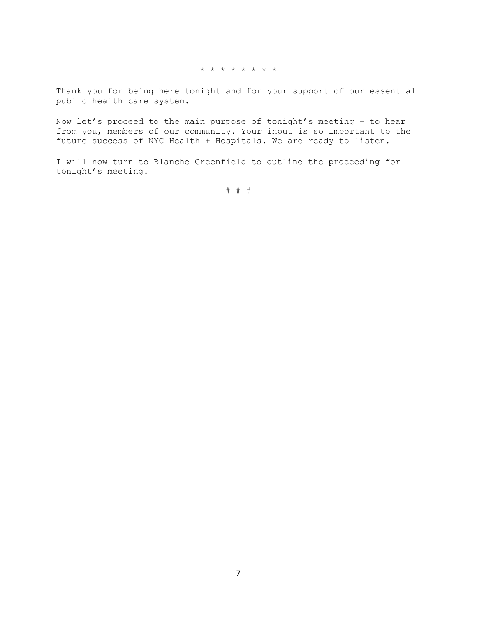\* \* \* \* \* \* \* \*

Thank you for being here tonight and for your support of our essential public health care system.

Now let's proceed to the main purpose of tonight's meeting – to hear from you, members of our community. Your input is so important to the future success of NYC Health + Hospitals. We are ready to listen.

I will now turn to Blanche Greenfield to outline the proceeding for tonight's meeting.

# # #